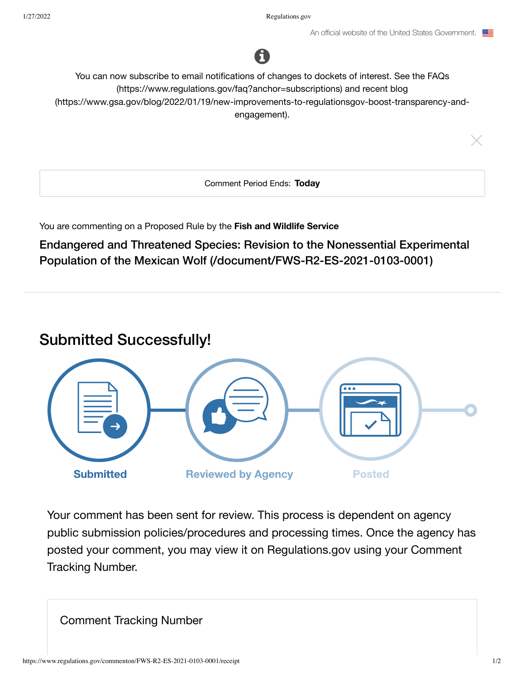

You can now subscribe to email notifications of changes to dockets of interest. See the FAQs (https://www.regulations.gov/faq?anchor=subscriptions) and recent blog (https://www.gsa.gov/blog/2022/01/19/new-improvements-to-regulationsgov-boost-transparency-andengagement).

Comment Period Ends: Today

You are commenting on a Proposed Rule by the Fish and Wildlife Service

Endangered and Threatened Species: Revision to the Nonessential Experimental Population of the Mexican Wolf (/document/FWS-R2-ES-2021-0103-0001)

# **Submitted Successfully!**



Your comment has been sent for review. This process is dependent on agency public submission policies/procedures and processing times. Once the agency has posted your comment, you may view it on Regulations gov using your Comment **Tracking Number.** 

**Comment Tracking Number**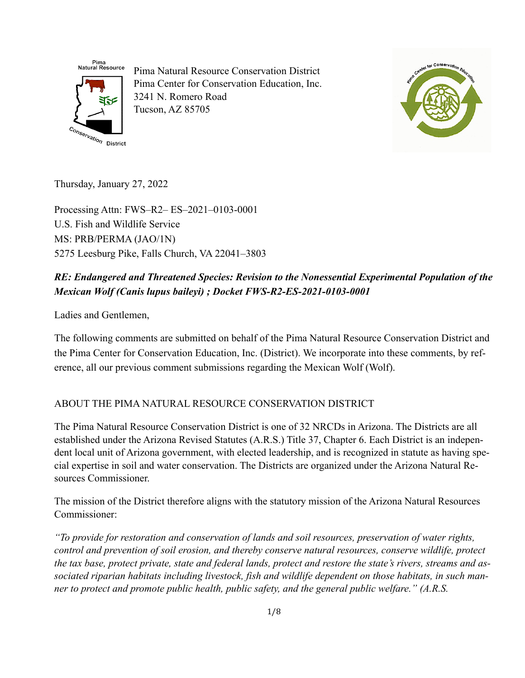

Pima Natural Resource Conservation District Pima Center for Conservation Education, Inc. 3241 N. Romero Road Tucson, AZ 85705



Thursday, January 27, 2022

Processing Attn: FWS–R2– ES–2021–0103-0001 U.S. Fish and Wildlife Service MS: PRB/PERMA (JAO/1N) 5275 Leesburg Pike, Falls Church, VA 22041–3803

# *RE: Endangered and Threatened Species: Revision to the Nonessential Experimental Population of the Mexican Wolf (Canis lupus baileyi) ; Docket FWS-R2-ES-2021-0103-0001*

Ladies and Gentlemen,

The following comments are submitted on behalf of the Pima Natural Resource Conservation District and the Pima Center for Conservation Education, Inc. (District). We incorporate into these comments, by reference, all our previous comment submissions regarding the Mexican Wolf (Wolf).

### ABOUT THE PIMA NATURAL RESOURCE CONSERVATION DISTRICT

The Pima Natural Resource Conservation District is one of 32 NRCDs in Arizona. The Districts are all established under the Arizona Revised Statutes (A.R.S.) Title 37, Chapter 6. Each District is an independent local unit of Arizona government, with elected leadership, and is recognized in statute as having special expertise in soil and water conservation. The Districts are organized under the Arizona Natural Resources Commissioner.

The mission of the District therefore aligns with the statutory mission of the Arizona Natural Resources Commissioner:

*"To provide for restoration and conservation of lands and soil resources, preservation of water rights, control and prevention of soil erosion, and thereby conserve natural resources, conserve wildlife, protect the tax base, protect private, state and federal lands, protect and restore the state's rivers, streams and associated riparian habitats including livestock, fish and wildlife dependent on those habitats, in such manner to protect and promote public health, public safety, and the general public welfare." (A.R.S.*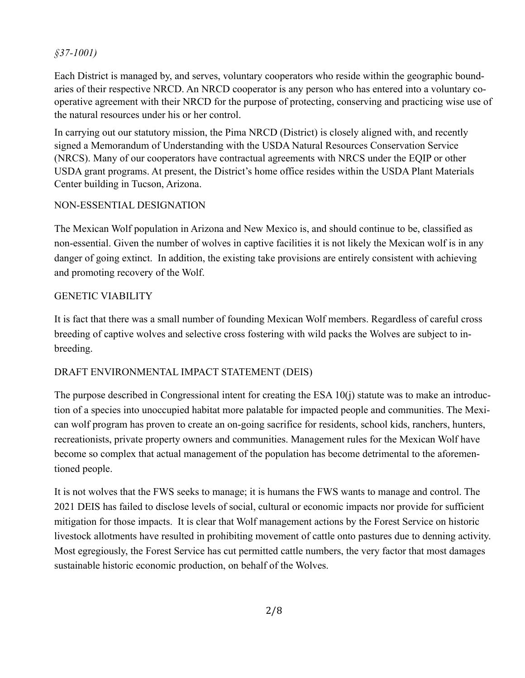### *§37-1001)*

Each District is managed by, and serves, voluntary cooperators who reside within the geographic boundaries of their respective NRCD. An NRCD cooperator is any person who has entered into a voluntary cooperative agreement with their NRCD for the purpose of protecting, conserving and practicing wise use of the natural resources under his or her control.

In carrying out our statutory mission, the Pima NRCD (District) is closely aligned with, and recently signed a Memorandum of Understanding with the USDA Natural Resources Conservation Service (NRCS). Many of our cooperators have contractual agreements with NRCS under the EQIP or other USDA grant programs. At present, the District's home office resides within the USDA Plant Materials Center building in Tucson, Arizona.

# NON-ESSENTIAL DESIGNATION

The Mexican Wolf population in Arizona and New Mexico is, and should continue to be, classified as non-essential. Given the number of wolves in captive facilities it is not likely the Mexican wolf is in any danger of going extinct. In addition, the existing take provisions are entirely consistent with achieving and promoting recovery of the Wolf.

# GENETIC VIABILITY

It is fact that there was a small number of founding Mexican Wolf members. Regardless of careful cross breeding of captive wolves and selective cross fostering with wild packs the Wolves are subject to inbreeding.

# DRAFT ENVIRONMENTAL IMPACT STATEMENT (DEIS)

The purpose described in Congressional intent for creating the ESA 10(j) statute was to make an introduction of a species into unoccupied habitat more palatable for impacted people and communities. The Mexican wolf program has proven to create an on-going sacrifice for residents, school kids, ranchers, hunters, recreationists, private property owners and communities. Management rules for the Mexican Wolf have become so complex that actual management of the population has become detrimental to the aforementioned people.

It is not wolves that the FWS seeks to manage; it is humans the FWS wants to manage and control. The 2021 DEIS has failed to disclose levels of social, cultural or economic impacts nor provide for sufficient mitigation for those impacts. It is clear that Wolf management actions by the Forest Service on historic livestock allotments have resulted in prohibiting movement of cattle onto pastures due to denning activity. Most egregiously, the Forest Service has cut permitted cattle numbers, the very factor that most damages sustainable historic economic production, on behalf of the Wolves.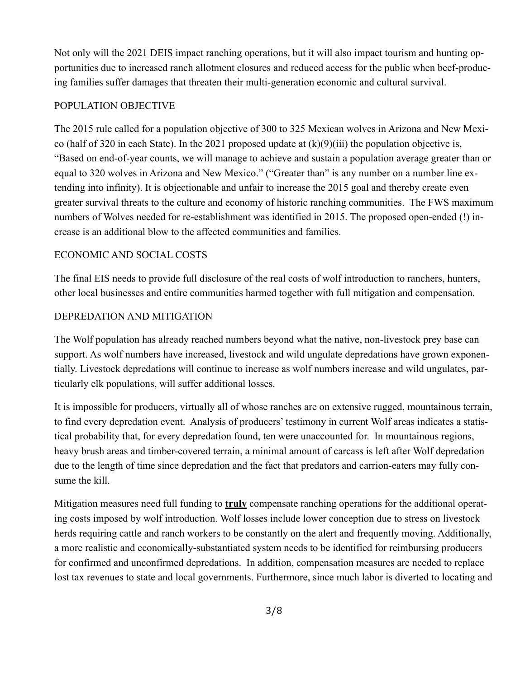Not only will the 2021 DEIS impact ranching operations, but it will also impact tourism and hunting opportunities due to increased ranch allotment closures and reduced access for the public when beef-producing families suffer damages that threaten their multi-generation economic and cultural survival.

### POPULATION OBJECTIVE

The 2015 rule called for a population objective of 300 to 325 Mexican wolves in Arizona and New Mexico (half of 320 in each State). In the 2021 proposed update at  $(k)(9)(iii)$  the population objective is, "Based on end-of-year counts, we will manage to achieve and sustain a population average greater than or equal to 320 wolves in Arizona and New Mexico." ("Greater than" is any number on a number line extending into infinity). It is objectionable and unfair to increase the 2015 goal and thereby create even greater survival threats to the culture and economy of historic ranching communities. The FWS maximum numbers of Wolves needed for re-establishment was identified in 2015. The proposed open-ended (!) increase is an additional blow to the affected communities and families.

#### ECONOMIC AND SOCIAL COSTS

The final EIS needs to provide full disclosure of the real costs of wolf introduction to ranchers, hunters, other local businesses and entire communities harmed together with full mitigation and compensation.

### DEPREDATION AND MITIGATION

The Wolf population has already reached numbers beyond what the native, non-livestock prey base can support. As wolf numbers have increased, livestock and wild ungulate depredations have grown exponentially. Livestock depredations will continue to increase as wolf numbers increase and wild ungulates, particularly elk populations, will suffer additional losses.

It is impossible for producers, virtually all of whose ranches are on extensive rugged, mountainous terrain, to find every depredation event. Analysis of producers' testimony in current Wolf areas indicates a statistical probability that, for every depredation found, ten were unaccounted for. In mountainous regions, heavy brush areas and timber-covered terrain, a minimal amount of carcass is left after Wolf depredation due to the length of time since depredation and the fact that predators and carrion-eaters may fully consume the kill.

Mitigation measures need full funding to **truly** compensate ranching operations for the additional operating costs imposed by wolf introduction. Wolf losses include lower conception due to stress on livestock herds requiring cattle and ranch workers to be constantly on the alert and frequently moving. Additionally, a more realistic and economically-substantiated system needs to be identified for reimbursing producers for confirmed and unconfirmed depredations. In addition, compensation measures are needed to replace lost tax revenues to state and local governments. Furthermore, since much labor is diverted to locating and